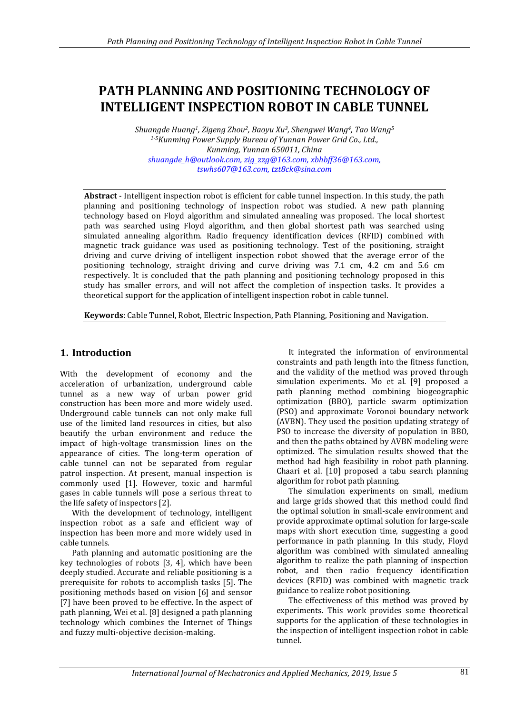# **PATH PLANNING AND POSITIONING TECHNOLOGY OF INTELLIGENT INSPECTION ROBOT IN CABLE TUNNEL**

*Shuangde Huang1, Zigeng Zhou2, Baoyu Xu3, Shengwei Wang4, Tao Wang<sup>5</sup> 1-5Kunming Power Supply Bureau of Yunnan Power Grid Co., Ltd., Kunming, Yunnan 650011, China [shuangde\\_h@outlook.com,](mailto:shuangde_h@outlook.com) [zig\\_zzg@163.com,](mailto:zig_zzg@163.com) [xbhbff36@163.com,](mailto:xbhbff36@163.com) [tswhs607@163.com,](mailto:tswhs607@163.com) [tzt8ck@sina.com](mailto:tzt8ck@sina.com)*

**Abstract** - Intelligent inspection robot is efficient for cable tunnel inspection. In this study, the path planning and positioning technology of inspection robot was studied. A new path planning technology based on Floyd algorithm and simulated annealing was proposed. The local shortest path was searched using Floyd algorithm, and then global shortest path was searched using simulated annealing algorithm. Radio frequency identification devices (RFID) combined with magnetic track guidance was used as positioning technology. Test of the positioning, straight driving and curve driving of intelligent inspection robot showed that the average error of the positioning technology, straight driving and curve driving was 7.1 cm, 4.2 cm and 5.6 cm respectively. It is concluded that the path planning and positioning technology proposed in this study has smaller errors, and will not affect the completion of inspection tasks. It provides a theoretical support for the application of intelligent inspection robot in cable tunnel.

**Keywords**: Cable Tunnel, Robot, Electric Inspection, Path Planning, Positioning and Navigation.

# **1. Introduction**

With the development of economy and the acceleration of urbanization, underground cable tunnel as a new way of urban power grid construction has been more and more widely used. Underground cable tunnels can not only make full use of the limited land resources in cities, but also beautify the urban environment and reduce the impact of high-voltage transmission lines on the appearance of cities. The long-term operation of cable tunnel can not be separated from regular patrol inspection. At present, manual inspection is commonly used [1]. However, toxic and harmful gases in cable tunnels will pose a serious threat to the life safety of inspectors [2].

With the development of technology, intelligent inspection robot as a safe and efficient way of inspection has been more and more widely used in cable tunnels.

Path planning and automatic positioning are the key technologies of robots [3, 4], which have been deeply studied. Accurate and reliable positioning is a prerequisite for robots to accomplish tasks [5]. The positioning methods based on vision [6] and sensor [7] have been proved to be effective. In the aspect of path planning, Wei et al. [8] designed a path planning technology which combines the Internet of Things and fuzzy multi-objective decision-making.

It integrated the information of environmental constraints and path length into the fitness function, and the validity of the method was proved through simulation experiments. Mo et al. [9] proposed a path planning method combining biogeographic optimization (BBO), particle swarm optimization (PSO) and approximate Voronoi boundary network (AVBN). They used the position updating strategy of PSO to increase the diversity of population in BBO, and then the paths obtained by AVBN modeling were optimized. The simulation results showed that the method had high feasibility in robot path planning. Chaari et al. [10] proposed a tabu search planning algorithm for robot path planning.

The simulation experiments on small, medium and large grids showed that this method could find the optimal solution in small-scale environment and provide approximate optimal solution for large-scale maps with short execution time, suggesting a good performance in path planning. In this study, Floyd algorithm was combined with simulated annealing algorithm to realize the path planning of inspection robot, and then radio frequency identification devices (RFID) was combined with magnetic track guidance to realize robot positioning.

The effectiveness of this method was proved by experiments. This work provides some theoretical supports for the application of these technologies in the inspection of intelligent inspection robot in cable tunnel.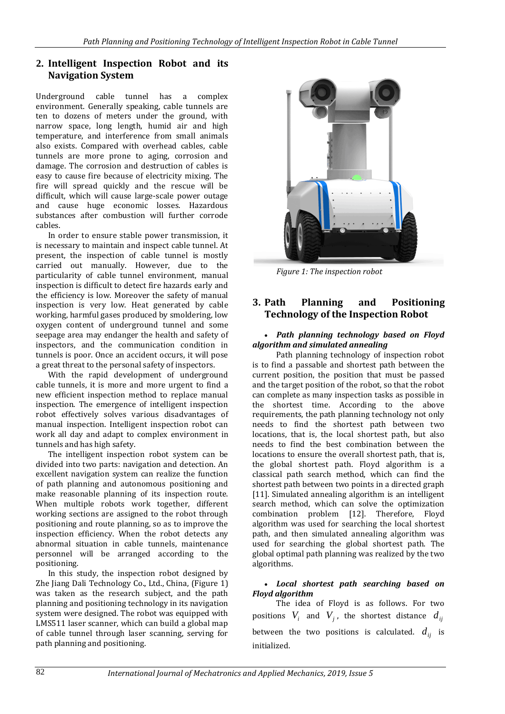# **2. Intelligent Inspection Robot and its Navigation System**

Underground cable tunnel has a complex environment. Generally speaking, cable tunnels are ten to dozens of meters under the ground, with narrow space, long length, humid air and high temperature, and interference from small animals also exists. Compared with overhead cables, cable tunnels are more prone to aging, corrosion and damage. The corrosion and destruction of cables is easy to cause fire because of electricity mixing. The fire will spread quickly and the rescue will be difficult, which will cause large-scale power outage and cause huge economic losses. Hazardous substances after combustion will further corrode cables.

In order to ensure stable power transmission, it is necessary to maintain and inspect cable tunnel. At present, the inspection of cable tunnel is mostly carried out manually. However, due to the particularity of cable tunnel environment, manual inspection is difficult to detect fire hazards early and the efficiency is low. Moreover the safety of manual inspection is very low. Heat generated by cable working, harmful gases produced by smoldering, low oxygen content of underground tunnel and some seepage area may endanger the health and safety of inspectors, and the communication condition in tunnels is poor. Once an accident occurs, it will pose a great threat to the personal safety of inspectors.

With the rapid development of underground cable tunnels, it is more and more urgent to find a new efficient inspection method to replace manual inspection. The emergence of intelligent inspection robot effectively solves various disadvantages of manual inspection. Intelligent inspection robot can work all day and adapt to complex environment in tunnels and has high safety.

The intelligent inspection robot system can be divided into two parts: navigation and detection. An excellent navigation system can realize the function of path planning and autonomous positioning and make reasonable planning of its inspection route. When multiple robots work together, different working sections are assigned to the robot through positioning and route planning, so as to improve the inspection efficiency. When the robot detects any abnormal situation in cable tunnels, maintenance personnel will be arranged according to the positioning.

In this study, the inspection robot designed by Zhe Jiang Dali Technology Co., Ltd., China, (Figure 1) was taken as the research subject, and the path planning and positioning technology in its navigation system were designed. The robot was equipped with LMS511 laser scanner, which can build a global map of cable tunnel through laser scanning, serving for path planning and positioning.



*Figure 1: The inspection robot*

# **3. Path Planning and Positioning Technology of the Inspection Robot**

#### *Path planning technology based on Floyd algorithm and simulated annealing*

Path planning technology of inspection robot is to find a passable and shortest path between the current position, the position that must be passed and the target position of the robot, so that the robot can complete as many inspection tasks as possible in the shortest time. According to the above requirements, the path planning technology not only needs to find the shortest path between two locations, that is, the local shortest path, but also needs to find the best combination between the locations to ensure the overall shortest path, that is, the global shortest path. Floyd algorithm is a classical path search method, which can find the shortest path between two points in a directed graph [11]. Simulated annealing algorithm is an intelligent search method, which can solve the optimization combination problem [12]. Therefore, Floyd algorithm was used for searching the local shortest path, and then simulated annealing algorithm was used for searching the global shortest path. The global optimal path planning was realized by the two algorithms.

## *Local shortest path searching based on Floyd algorithm*

The idea of Floyd is as follows. For two positions  $V_i$  and  $V_j$ , the shortest distance  $d_{ij}$ between the two positions is calculated.  $d_{ij}$  is initialized.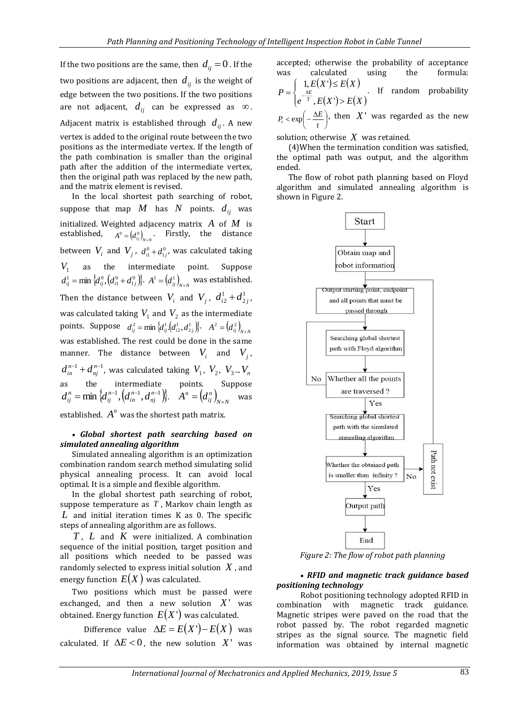If the two positions are the same, then  $d_{ij}^{} \! = \! 0$  . If the two positions are adjacent, then  $\,d_{\scriptscriptstyle ij}\,$  is the weight of edge between the two positions. If the two positions are not adjacent,  $d_{\mathit{ij}}$  can be expressed as  $\infty$ . Adjacent matrix is established through  $d_{ij}^{\phantom{\dag}}$  . A new vertex is added to the original route between the two positions as the intermediate vertex. If the length of the path combination is smaller than the original path after the addition of the intermediate vertex, then the original path was replaced by the new path, and the matrix element is revised. In the local shortest path searching of robot, suppose that map  $M$  has  $N$  points.  $d_{ij}$  was initialized. Weighted adjacency matrix  $A$  of  $M$  is established,  $A^0 = (d_{ij}^0)_{N \times N}^N$ . Firstly, the distance between  $V_i$  and  $V_j$ ,  $d_{i1}^0 + d_{1j}^0$ , was calculated taking

 $V_1$  as the intermediate point. Suppose  $d_{ij}^1 = \min \left\{ d_{ij}^0, \left( d_{i1}^0 + d_{1j}^0 \right) \right\}$ .  $A^1 = \left( d_{ij}^1 \right)_{N \times N}$  was established. Then the distance between  $V_i$  and  $V_j$ ,  $d_{i2}^1 + d_2^1$ 2  $d_{i2}^1 + d_{2j}^1$ was calculated taking  $V_1$  and  $V_2$  as the intermediate points. Suppose  $d_{ij}^2 = \min \{d_{ij}^1(d_{i2}^1, d_{2j}^1)\}$ .  $A^2 = (d_{ij}^2)_{N \times N}$ was established. The rest could be done in the same manner. The distance between  $V_i$  and  $V_j$ ,  $d_{\it in}^{\it n-1}$  +  $d_{\it nj}^{\it n-1}$  , was calculated taking  $\it V_{\rm 1}$  ,  $\it V_{\rm 2}$  ,  $\it V_{\rm 3}$  ...  $\it V_{\rm n}$ as the intermediate points. Suppose  $d_{ij}^{\,n} = \min \big\{ \! d_{ij}^{\,n-1}, \! \left( \! d_{in}^{\,n-1}, \! d_{nj}^{\,n-1} \! \right) \!\! \big\}. \quad \! \hat{A}^{\,n} = \! \left( \! d_{ij}^{\,n} \right)_{\!\! \! \scriptscriptstyle N \times N}$  $A^n = (d_{ij}^n)_{N \times N}$  was

established.  $A^n$  was the shortest path matrix.

#### *Global shortest path searching based on simulated annealing algorithm*

Simulated annealing algorithm is an optimization combination random search method simulating solid physical annealing process. It can avoid local optimal. It is a simple and flexible algorithm.

In the global shortest path searching of robot, suppose temperature as *T* , Markov chain length as *L* and initial iteration times K as 0. The specific steps of annealing algorithm are as follows.

*T* , *L* and *K* were initialized. A combination sequence of the initial position, target position and all positions which needed to be passed was randomly selected to express initial solution *X* , and energy function  $\,E(X)$  was calculated.

Two positions which must be passed were exchanged, and then a new solution  $X'$  was obtained. Energy function  $\,E\!\left(X^{\,\cdot}\right)$  was calculated.

Difference value  $\Delta E = E(X') - E(X)$  was calculated. If  $\Delta E < 0$ , the new solution  $X'$  was accepted; otherwise the probability of acceptance was calculated using the formula:

$$
P = \begin{cases} 1, E(X') \le E(X) \\ e^{\frac{\Delta E}{T}}, E(X') > E(X) \end{cases}
$$
 If random probability

 $\bigg)$  $\left(-\frac{\Delta E}{t}\right)$  $\lt \exp\left(-\frac{\Delta t}{t}\right)$  $P$ <sup>*t*</sup>  $\leq$  exp $\left(-\frac{\Delta E}{\Delta E}\right)$ , then  $X'$  was regarded as the new

solution; otherwise *X* was retained.

(4)When the termination condition was satisfied, the optimal path was output, and the algorithm ended.

The flow of robot path planning based on Floyd algorithm and simulated annealing algorithm is shown in Figure 2.



*Figure 2: The flow of robot path planning*

#### *RFID and magnetic track guidance based positioning technology*

Robot positioning technology adopted RFID in combination with magnetic track guidance. Magnetic stripes were paved on the road that the robot passed by. The robot regarded magnetic stripes as the signal source. The magnetic field information was obtained by internal magnetic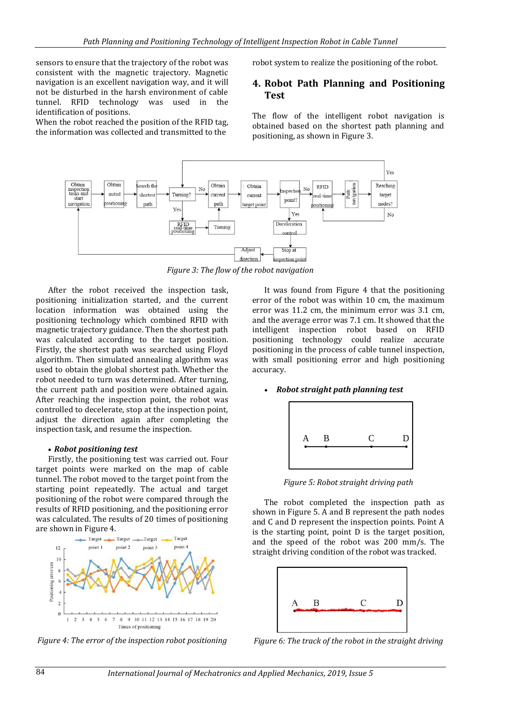sensors to ensure that the trajectory of the robot was consistent with the magnetic trajectory. Magnetic navigation is an excellent navigation way, and it will not be disturbed in the harsh environment of cable tunnel. RFID technology was used in the identification of positions.

When the robot reached the position of the RFID tag, the information was collected and transmitted to the

robot system to realize the positioning of the robot.

## **4. Robot Path Planning and Positioning Test**

The flow of the intelligent robot navigation is obtained based on the shortest path planning and positioning, as shown in Figure 3.



*Figure 3: The flow of the robot navigation*

After the robot received the inspection task, positioning initialization started, and the current location information was obtained using the positioning technology which combined RFID with magnetic trajectory guidance. Then the shortest path was calculated according to the target position. Firstly, the shortest path was searched using Floyd algorithm. Then simulated annealing algorithm was used to obtain the global shortest path. Whether the robot needed to turn was determined. After turning, the current path and position were obtained again. After reaching the inspection point, the robot was controlled to decelerate, stop at the inspection point, adjust the direction again after completing the inspection task, and resume the inspection.

#### *Robot positioning test*

Firstly, the positioning test was carried out. Four target points were marked on the map of cable tunnel. The robot moved to the target point from the starting point repeatedly. The actual and target positioning of the robot were compared through the results of RFID positioning, and the positioning error was calculated. The results of 20 times of positioning are shown in Figure 4.



*Figure 4: The error of the inspection robot positioning*

It was found from Figure 4 that the positioning error of the robot was within 10 cm, the maximum error was 11.2 cm, the minimum error was 3.1 cm, and the average error was 7.1 cm. It showed that the intelligent inspection robot based on RFID positioning technology could realize accurate positioning in the process of cable tunnel inspection, with small positioning error and high positioning accuracy.

#### *Robot straight path planning test*



*Figure 5: Robot straight driving path*

The robot completed the inspection path as shown in Figure 5. A and B represent the path nodes and C and D represent the inspection points. Point A is the starting point, point D is the target position, and the speed of the robot was 200 mm/s. The straight driving condition of the robot was tracked.



*Figure 6: The track of the robot in the straight driving*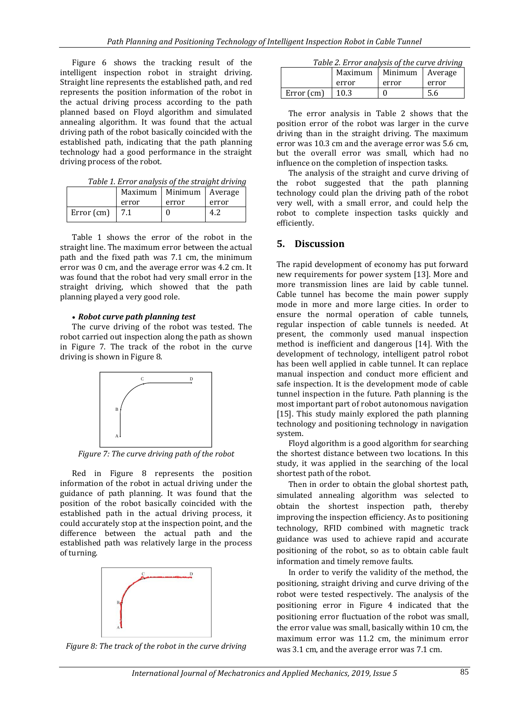Figure 6 shows the tracking result of the intelligent inspection robot in straight driving. Straight line represents the established path, and red represents the position information of the robot in the actual driving process according to the path planned based on Floyd algorithm and simulated annealing algorithm. It was found that the actual driving path of the robot basically coincided with the established path, indicating that the path planning technology had a good performance in the straight driving process of the robot.

*Table 1. Error analysis of the straight driving*

|            | Maximum | Minimum I | Average |
|------------|---------|-----------|---------|
|            | error   | error     | error   |
| Error (cm) | 7.1     |           | 4.7     |

Table 1 shows the error of the robot in the straight line. The maximum error between the actual path and the fixed path was 7.1 cm, the minimum error was 0 cm, and the average error was 4.2 cm. It was found that the robot had very small error in the straight driving, which showed that the path planning played a very good role.

#### *Robot curve path planning test*

The curve driving of the robot was tested. The robot carried out inspection along the path as shown in Figure 7. The track of the robot in the curve driving is shown in Figure 8.



*Figure 7: The curve driving path of the robot*

Red in Figure 8 represents the position information of the robot in actual driving under the guidance of path planning. It was found that the position of the robot basically coincided with the established path in the actual driving process, it could accurately stop at the inspection point, and the difference between the actual path and the established path was relatively large in the process of turning.



*Figure 8: The track of the robot in the curve driving*

|            | Maximum | Minimum | Average |  |
|------------|---------|---------|---------|--|
|            | error   | error   | error   |  |
| Error (cm) | 10.3    |         | 5.6     |  |

The error analysis in Table 2 shows that the position error of the robot was larger in the curve driving than in the straight driving. The maximum error was 10.3 cm and the average error was 5.6 cm, but the overall error was small, which had no influence on the completion of inspection tasks.

The analysis of the straight and curve driving of the robot suggested that the path planning technology could plan the driving path of the robot very well, with a small error, and could help the robot to complete inspection tasks quickly and efficiently.

## **5. Discussion**

The rapid development of economy has put forward new requirements for power system [13]. More and more transmission lines are laid by cable tunnel. Cable tunnel has become the main power supply mode in more and more large cities. In order to ensure the normal operation of cable tunnels, regular inspection of cable tunnels is needed. At present, the commonly used manual inspection method is inefficient and dangerous [14]. With the development of technology, intelligent patrol robot has been well applied in cable tunnel. It can replace manual inspection and conduct more efficient and safe inspection. It is the development mode of cable tunnel inspection in the future. Path planning is the most important part of robot autonomous navigation [15]. This study mainly explored the path planning technology and positioning technology in navigation system.

Floyd algorithm is a good algorithm for searching the shortest distance between two locations. In this study, it was applied in the searching of the local shortest path of the robot.

Then in order to obtain the global shortest path, simulated annealing algorithm was selected to obtain the shortest inspection path, thereby improving the inspection efficiency. As to positioning technology, RFID combined with magnetic track guidance was used to achieve rapid and accurate positioning of the robot, so as to obtain cable fault information and timely remove faults.

In order to verify the validity of the method, the positioning, straight driving and curve driving of the robot were tested respectively. The analysis of the positioning error in Figure 4 indicated that the positioning error fluctuation of the robot was small, the error value was small, basically within 10 cm, the maximum error was 11.2 cm, the minimum error was 3.1 cm, and the average error was 7.1 cm.